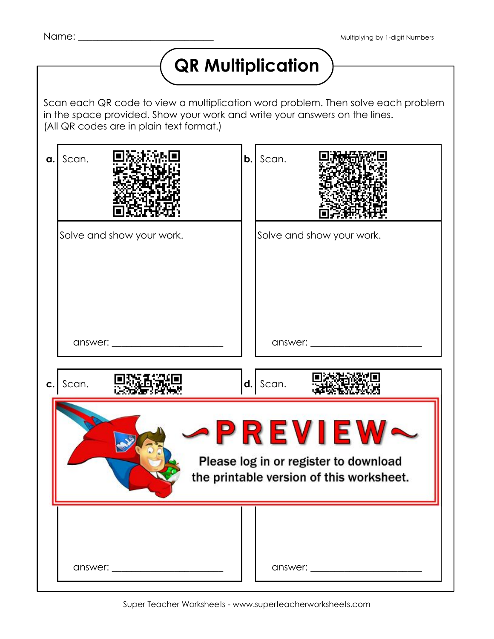## **QR Multiplication**

Scan each QR code to view a multiplication word problem. Then solve each problem in the space provided. Show your work and write your answers on the lines. (All QR codes are in plain text format.)

| a. | Scan.                                                                                        | b. | Scan.                     |
|----|----------------------------------------------------------------------------------------------|----|---------------------------|
|    | Solve and show your work.                                                                    |    | Solve and show your work. |
|    |                                                                                              |    |                           |
| C. | Scan.                                                                                        |    | $d.$ Scan.                |
|    | PREVIEW<br>Please log in or register to download<br>the printable version of this worksheet. |    |                           |
|    |                                                                                              |    |                           |
|    |                                                                                              |    |                           |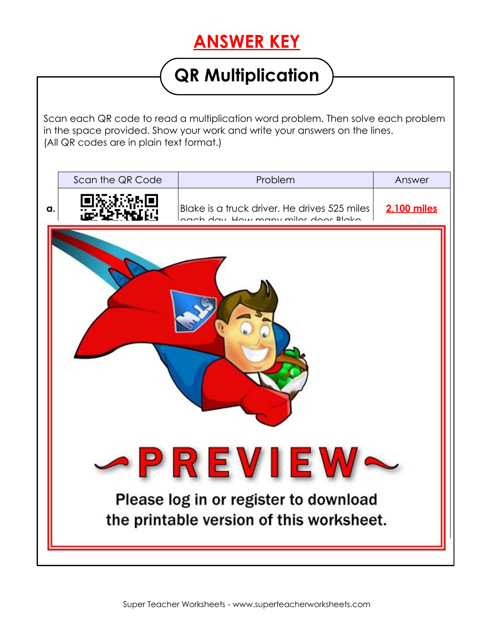## **ANSWER KEY**

## **QR Multiplication**

Scan each QR code to read a multiplication word problem. Then solve each problem in the space provided. Show your work and write your answers on the lines. (All QR codes are in plain text format.)